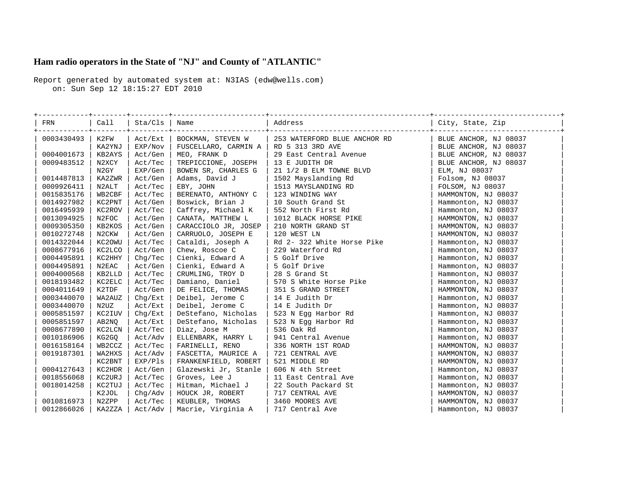## **Ham radio operators in the State of "NJ" and County of "ATLANTIC"**

Report generated by automated system at: N3IAS (edw@wells.com) on: Sun Sep 12 18:15:27 EDT 2010

| FRN        |        | Call   Sta/Cls   Name           |                                           | Address                                                                                                                                            | City, State, Zip      |
|------------|--------|---------------------------------|-------------------------------------------|----------------------------------------------------------------------------------------------------------------------------------------------------|-----------------------|
| 0003430493 | K2FW   | -+--------+---------<br>Act/Ext |                                           | BOCKMAN, STEVEN W   253 WATERFORD BLUE ANCHOR RD                                                                                                   | BLUE ANCHOR, NJ 08037 |
|            | KA2YNJ | EXP/Nov                         | FUSCELLARO, CARMIN A   RD 5 313 3RD AVE   | RD 5 313 3RD AVE<br>29 East Central Avenue                                                                                                         | BLUE ANCHOR, NJ 08037 |
| 0004001673 | KB2AYS | Act/Gen                         | MEO, FRANK D                              |                                                                                                                                                    | BLUE ANCHOR, NJ 08037 |
| 0009483512 | N2XCY  | Act/Tec                         | TREPICCIONE, JOSEPH                       | 13 E JUDITH DR                                                                                                                                     | BLUE ANCHOR, NJ 08037 |
|            | N2GY   | EXP/Gen                         | BOWEN SR, CHARLES G                       | 21 1/2 B ELM TOWNE BLVD                                                                                                                            | ELM, NJ 08037         |
| 0014487813 | KA2ZWR | Act/Gen                         | Adams, David J                            | 1502 Mayslanding Rd                                                                                                                                | Folsom, NJ 08037      |
| 0009926411 | N2ALT  | Act/Tec                         | EBY, JOHN                                 |                                                                                                                                                    | FOLSOM, NJ 08037      |
| 0015835176 | WB2CBF | Act/Tec                         | BERENATO, ANTHONY C                       |                                                                                                                                                    | HAMMONTON, NJ 08037   |
| 0014927982 | KC2PNT | Act/Gen                         | Boswick, Brian J                          |                                                                                                                                                    | Hammonton, NJ 08037   |
| 0016495939 | KC2ROV | Act/Tec                         | Caffrey, Michael K                        | 552 North First Rd                                                                                                                                 | Hammonton, NJ 08037   |
| 0013094925 | N2FOC  | Act/Gen                         | CANATA, MATTHEW L                         | 1513 MAYSLANDING RD<br>123 WINDING WAY<br>10 South Grand St<br>552 North First Rd<br>1012 BLACK HORSE DIVE<br>1012 BLACK HORSE PIKE                | HAMMONTON, NJ 08037   |
| 0009305350 | KB2KOS | Act/Gen                         | CARACCIOLO JR, JOSEP                      | 210 NORTH GRAND ST                                                                                                                                 | HAMMONTON, NJ 08037   |
| 0010272748 | N2CKW  | Act/Gen                         | CARRUOLO, JOSEPH E                        | 120 WEST LN                                                                                                                                        | HAMMONTON, NJ 08037   |
| 0014322044 | KC20WU | Act/Tec                         | Cataldi, Joseph A                         | Rd 2- 322 White Horse Pike                                                                                                                         | Hammonton, NJ 08037   |
| 0008677916 | KC2LCO | Act/Gen                         | Chew, Roscoe C                            | 229 Waterford Rd                                                                                                                                   | Hammonton, NJ 08037   |
| 0004495891 | KC2HHY | Chq/Tec                         | Cienki, Edward A                          | 5 Golf Drive                                                                                                                                       | Hammonton, NJ 08037   |
| 0004495891 | N2EAC  | Act/Gen                         |                                           |                                                                                                                                                    | Hammonton, NJ 08037   |
| 0004000568 | KB2LLD | Act/Tec                         |                                           |                                                                                                                                                    | Hammonton, NJ 08037   |
| 0018193482 | KC2ELC | Act/Tec                         |                                           | Cienki, Edward A   5 Golf Drive<br>Cienki, Edward A   5 Golf Drive<br>CRUMLING, TROY D   28 S Grand St<br>Damiano, Daniel   570 S White Horse Pike | Hammonton, NJ 08037   |
| 0004011649 | K2TDF  | Act/Gen                         | DE FELICE, THOMAS                         | 351 S GRAND STREET                                                                                                                                 | HAMMONTON, NJ 08037   |
| 0003440070 | WA2AUZ | Chg/Ext                         | Deibel, Jerome C   14 E Judith Dr         |                                                                                                                                                    | Hammonton, NJ 08037   |
| 0003440070 | N2UZ   | Act/Ext                         | Deibel, Jerome C   14 E Judith Dr         |                                                                                                                                                    | Hammonton, NJ 08037   |
| 0005851597 | KC2IUV | Chq/Ext                         | DeStefano, Nicholas   523 N Eqq Harbor Rd |                                                                                                                                                    | Hammonton, NJ 08037   |
| 0005851597 | AB2NQ  | Act/Ext                         | DeStefano, Nicholas                       | 523 N Egg Harbor Rd                                                                                                                                | Hammonton, NJ 08037   |
| 0008677890 | KC2LCN | Act/Tec                         | Diaz, Jose M                              | 536 Oak Rd                                                                                                                                         | Hammonton, NJ 08037   |
| 0010186906 | KG2GQ  | Act/Adv                         | ELLENBARK, HARRY L                        | 941 Central Avenue                                                                                                                                 | Hammonton, NJ 08037   |
| 0016158164 | WB2CCZ | Act/Tec                         | FARINELLI, RENO                           | 941 Central Avenue<br>336 NORTH 1ST ROAD<br>721 CENTRAL AVE<br>521 MIDDLE RD<br>606 N 4th Street<br>11 East Central Ave                            | HAMMONTON, NJ 08037   |
| 0019187301 | WA2HXS | Act/Adv                         | FASCETTA, MAURICE A                       |                                                                                                                                                    | HAMMONTON, NJ 08037   |
|            | KC2BNT | EXP/Pls                         | FRANKENFIELD, ROBERT                      |                                                                                                                                                    | HAMMONTON, NJ 08037   |
| 0004127643 | KC2HDR | Act/Gen                         | Glazewski Jr, Stanle                      |                                                                                                                                                    | Hammonton, NJ 08037   |
| 0018556068 | KC2URJ | Act/Tec                         | Groves, Lee J                             |                                                                                                                                                    | Hammonton, NJ 08037   |
| 0018014258 | KC2TUJ | Act/Tec                         | Hitman, Michael J                         | 22 South Packard St                                                                                                                                | Hammonton, NJ 08037   |
|            | K2JOL  | Chq/Adv                         | HOUCK JR, ROBERT                          | 717 CENTRAL AVE                                                                                                                                    | HAMMONTON, NJ 08037   |
| 0010816973 | N2ZPP  | Act/Tec                         | KEUBLER, THOMAS                           | 3460 MOORES AVE                                                                                                                                    | HAMMONTON, NJ 08037   |
| 0012866026 | KA2ZZA | Act/Adv                         | Macrie, Virginia A                        | 717 Central Ave                                                                                                                                    | Hammonton, NJ 08037   |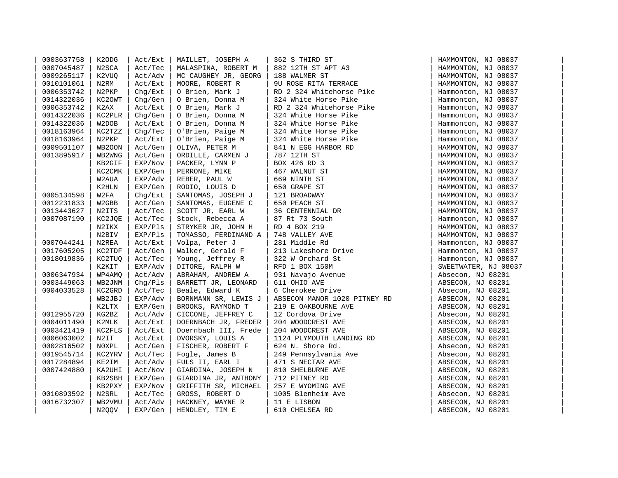| 0003637758 | K2ODG  | Act/Ext | MAILLET, JOSEPH A                     | 362 S THIRD ST               | HAMMONTON, NJ 08037  |  |
|------------|--------|---------|---------------------------------------|------------------------------|----------------------|--|
| 0007045487 | N2SCA  | Act/Tec | MALASPINA, ROBERT M                   | 882 12TH ST APT A3           | HAMMONTON, NJ 08037  |  |
| 0009265117 | K2VUQ  | Act/Adv | MC CAUGHEY JR, GEORG                  | 188 WALMER ST                | HAMMONTON, NJ 08037  |  |
| 0010101061 | N2RM   | Act/Ext | MOORE, ROBERT R                       | 9U ROSE RITA TERRACE         | HAMMONTON, NJ 08037  |  |
| 0006353742 | N2PKP  | Chq/Ext | O Brien, Mark J                       | RD 2 324 Whitehorse Pike     | Hammonton, NJ 08037  |  |
| 0014322036 | KC2OWT | Chq/Gen | O Brien, Donna M                      | 324 White Horse Pike         | Hammonton, NJ 08037  |  |
| 0006353742 | K2AX   | Act/Ext | O Brien, Mark J                       | RD 2 324 Whitehorse Pike     | Hammonton, NJ 08037  |  |
| 0014322036 | KC2PLR | Chq/Gen | O Brien, Donna M                      | 324 White Horse Pike         | Hammonton, NJ 08037  |  |
| 0014322036 | W2DOB  | Act/Ext | O Brien, Donna M                      | 324 White Horse Pike         | Hammonton, NJ 08037  |  |
| 0018163964 | KC2TZZ | Chq/Tec | O'Brien, Paige M                      | 324 White Horse Pike         | Hammonton, NJ 08037  |  |
| 0018163964 | N2PKP  | Act/Ext | O'Brien, Paige M                      | 324 White Horse Pike         | Hammonton, NJ 08037  |  |
| 0009501107 | WB200N | Act/Gen | OLIVA, PETER M                        | 841 N EGG HARBOR RD          | HAMMONTON, NJ 08037  |  |
| 0013895917 | WB2WNG | Act/Gen | ORDILLE, CARMEN J                     | 787 12TH ST                  | HAMMONTON, NJ 08037  |  |
|            | KB2GIF | EXP/Nov | PACKER, LYNN P                        | BOX 426 RD 3                 | HAMMONTON, NJ 08037  |  |
|            | KC2CMK | EXP/Gen | PERRONE, MIKE                         | 467 WALNUT ST                | HAMMONTON, NJ 08037  |  |
|            | W2AUA  | EXP/Adv | REBER, PAUL W                         | 669 NINTH ST                 | HAMMONTON, NJ 08037  |  |
|            | K2HLN  | EXP/Gen | RODIO, LOUIS D                        | 650 GRAPE ST                 | HAMMONTON, NJ 08037  |  |
| 0005134598 | W2FA   | Chq/Ext | SANTOMAS, JOSEPH J                    | 121 BROADWAY                 | HAMMONTON, NJ 08037  |  |
| 0012231833 | W2GBB  | Act/Gen | SANTOMAS, EUGENE C                    | 650 PEACH ST                 | HAMMONTON, NJ 08037  |  |
| 0013443627 | N2ITS  | Act/Tec | SCOTT JR, EARL W                      | 36 CENTENNIAL DR             | HAMMONTON, NJ 08037  |  |
| 0007087190 | KC2JQE | Act/Tec | Stock, Rebecca A                      | 87 Rt 73 South               | Hammonton, NJ 08037  |  |
|            | N2IKX  | EXP/Pls | STRYKER JR, JOHN H                    | RD 4 BOX 219                 | HAMMONTON, NJ 08037  |  |
|            | N2BIV  | EXP/Pls | TOMASSO, FERDINAND A   748 VALLEY AVE |                              | HAMMONTON, NJ 08037  |  |
| 0007044241 | N2REA  | Act/Ext | Volpa, Peter J                        | 281 Middle Rd                | Hammonton, NJ 08037  |  |
| 0017605205 | KC2TDF | Act/Gen | Walker, Gerald F                      | 213 Lakeshore Drive          | Hammonton, NJ 08037  |  |
| 0018019836 | KC2TUQ | Act/Tec | Young, Jeffrey R                      | 322 W Orchard St             | Hammonton, NJ 08037  |  |
|            | K2KIT  | EXP/Adv | DITORE, RALPH W                       | RFD 1 BOX 150M               | SWEETWATER, NJ 08037 |  |
| 0006347934 | WP4AMQ | Act/Adv | ABRAHAM, ANDREW A                     | 931 Navajo Avenue            | Absecon, NJ 08201    |  |
| 0003449063 | WB2JNM | Chq/Pls | BARRETT JR, LEONARD                   | 611 OHIO AVE                 | ABSECON, NJ 08201    |  |
| 0004033528 | KC2GRD | Act/Tec | Beale, Edward K                       | 6 Cherokee Drive             | Absecon, NJ 08201    |  |
|            | WB2JBJ | EXP/Adv | BORNMANN SR, LEWIS J                  | ABSECON MANOR 1020 PITNEY RD | ABSECON, NJ 08201    |  |
|            | K2LTX  | EXP/Gen | BROOKS, RAYMOND T                     | 219 E OAKBOURNE AVE          | ABSECON, NJ 08201    |  |
| 0012955720 | KG2BZ  | Act/Adv | CICCONE, JEFFREY C                    | 12 Cordova Drive             | Absecon, NJ 08201    |  |
| 0004011490 | K2MLK  | Act/Ext | DOERNBACH JR, FREDER                  | 204 WOODCREST AVE            | ABSECON, NJ 08201    |  |
| 0003421419 | KC2FLS | Act/Ext | Doernbach III, Frede                  | 204 WOODCREST AVE            | ABSECON, NJ 08201    |  |
| 0006063002 | N2IT   | Act/Ext | DVORSKY, LOUIS A                      | 1124 PLYMOUTH LANDING RD     | ABSECON, NJ 08201    |  |
| 0002816502 | N0XPL  | Act/Gen | FISCHER, ROBERT F                     | 624 N. Shore Rd.             | Absecon, NJ 08201    |  |
| 0019545714 | KC2YRV | Act/Tec | Fogle, James B                        | 249 Pennsylvania Ave         | Absecon, NJ 08201    |  |
| 0017284894 | KE2IM  | Act/Adv | FULS II, EARL I                       | 471 S NECTAR AVE             | ABSECON, NJ 08201    |  |
| 0007424880 | KA2UHI | Act/Nov | GIARDINA, JOSEPH N                    | 810 SHELBURNE AVE            | ABSECON, NJ 08201    |  |
|            | KB2SBH | EXP/Gen | GIARDINA JR, ANTHONY                  | 712 PITNEY RD                | ABSECON, NJ 08201    |  |
|            | KB2PXY | EXP/Nov | GRIFFITH SR, MICHAEL                  | 257 E WYOMING AVE            | ABSECON, NJ 08201    |  |
| 0010893592 | N2SRL  | Act/Tec | GROSS, ROBERT D                       | 1005 Blenheim Ave            | Absecon, NJ 08201    |  |
| 0016732307 | WB2VMU | Act/Adv | HACKNEY, WAYNE R                      | 11 E LISBON                  | ABSECON, NJ 08201    |  |
|            | N2QQV  | EXP/Gen | HENDLEY, TIM E                        | 610 CHELSEA RD               | ABSECON, NJ 08201    |  |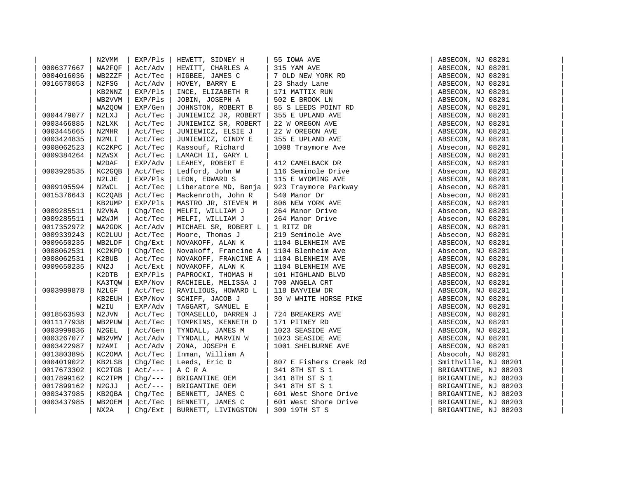|            | N2VMM  | EXP/Pls    | HEWETT, SIDNEY H                         | 55 IOWA AVE                                                                                                                                                                                                                                           | ABSECON, NJ 08201    |  |
|------------|--------|------------|------------------------------------------|-------------------------------------------------------------------------------------------------------------------------------------------------------------------------------------------------------------------------------------------------------|----------------------|--|
| 0006377667 | WA2FOF | Act/Adv    | HEWITT, CHARLES A                        |                                                                                                                                                                                                                                                       | ABSECON, NJ 08201    |  |
| 0004016036 | WB2ZZF | Act/Tec    | HIGBEE, JAMES C                          |                                                                                                                                                                                                                                                       | ABSECON, NJ 08201    |  |
| 0016570053 | N2FSG  | Act/Adv    | HOVEY, BARRY E                           |                                                                                                                                                                                                                                                       | ABSECON, NJ 08201    |  |
|            | KB2NNZ | EXP/Pls    | INCE, ELIZABETH R $\vert$ 171 MATTIX RUN |                                                                                                                                                                                                                                                       | ABSECON, NJ 08201    |  |
|            | WB2VVM | EXP/Pls    | JOBIN, JOSEPH A                          |                                                                                                                                                                                                                                                       | ABSECON, NJ 08201    |  |
|            | WA2QOW | EXP/Gen    | JOHNSTON, ROBERT B                       |                                                                                                                                                                                                                                                       | ABSECON, NJ 08201    |  |
| 0004479077 | N2LXJ  | Act/Tec    | JUNIEWICZ JR, ROBERT                     |                                                                                                                                                                                                                                                       | ABSECON, NJ 08201    |  |
| 0003466885 | N2LXK  | Act/Tec    | JUNIEWICZ SR, ROBERT                     | 55 IOWA AVE<br>  315 YAM AVE<br>  7 OLD NEW YORK RD<br>23 Shady Lane<br>  171 MATTIX RUN<br>  502 E BROOK LN<br>  85 S LEEDS POINT RD<br>  355 E UPLAND AVE<br>  22 W OREGON AVE<br>  22 W OREGON AVE<br>  355 E UPLAND AVE<br>  355 E UPLAND AVE<br> | ABSECON, NJ 08201    |  |
| 0003445665 | N2MHR  | Act/Tec    | JUNIEWICZ, ELSIE J                       |                                                                                                                                                                                                                                                       | ABSECON, NJ 08201    |  |
| 0003424835 | N2MLI  | Act/Tec    | JUNIEWICZ, CINDY E                       |                                                                                                                                                                                                                                                       | ABSECON, NJ 08201    |  |
| 0008062523 | KC2KPC | Act/Tec    | Kassouf, Richard                         |                                                                                                                                                                                                                                                       | Absecon, NJ 08201    |  |
| 0009384264 | N2WSX  | Act/Tec    | LAMACH II, GARY L                        |                                                                                                                                                                                                                                                       | ABSECON, NJ 08201    |  |
|            | W2DAF  | EXP/Adv    | LEAHEY, ROBERT E                         |                                                                                                                                                                                                                                                       | ABSECON, NJ 08201    |  |
| 0003920535 | KC2GQB | Act/Tec    | Ledford, John W                          |                                                                                                                                                                                                                                                       | Absecon, NJ 08201    |  |
|            | N2LJE  | EXP/Pls    | LEON, EDWARD S                           | <br>  412 CAMELBACK DR<br>  116 Seminole Drive<br>  115 TENGAMING AVE                                                                                                                                                                                 | ABSECON, NJ 08201    |  |
| 0009105594 | N2WCL  | Act/Tec    |                                          | Liberatore MD, Benja   923 Traymore Parkway<br>Mackenroth, John R   540 Manor Dr<br>MASTRO JR, STEVEN M   806 NEW YORK AVE                                                                                                                            | Absecon, NJ 08201    |  |
| 0015376643 | KC2QAB | Act/Tec    |                                          |                                                                                                                                                                                                                                                       | Absecon, NJ 08201    |  |
|            | KB2UMP | EXP/Pls    |                                          |                                                                                                                                                                                                                                                       | ABSECON, NJ 08201    |  |
| 0009285511 | N2VNA  | Chq/Tec    |                                          |                                                                                                                                                                                                                                                       | Absecon, NJ 08201    |  |
| 0009285511 | W2WJM  | Act/Tec    |                                          |                                                                                                                                                                                                                                                       | Absecon, NJ 08201    |  |
| 0017352972 | WA2GDK | Act/Adv    |                                          |                                                                                                                                                                                                                                                       | ABSECON, NJ 08201    |  |
| 0009339243 | KC2LUU | Act/Tec    |                                          |                                                                                                                                                                                                                                                       | Absecon, NJ 08201    |  |
| 0009650235 | WB2LDF | Chg/Ext    |                                          | MASTRO JR, STEVEN M   806 NEW YORK AVE<br>MELFI, WILLIAM J   264 Manor Drive<br>MELFI, WILLIAM J   264 Manor Drive<br>MICHAEL SR, ROBERT L   1 RITZ DR<br>Moore, Thomas J   219 Seminole Ave<br>NOVAKOFF, ALAN K   1104 BLENHEIM AVE<br>NO            | ABSECON, NJ 08201    |  |
| 0008062531 | KC2KPD | Chq/Tec    |                                          |                                                                                                                                                                                                                                                       | Absecon, NJ 08201    |  |
| 0008062531 | K2BUB  | Act/Tec    |                                          |                                                                                                                                                                                                                                                       | ABSECON, NJ 08201    |  |
| 0009650235 | KN2J   | Act/Ext    |                                          |                                                                                                                                                                                                                                                       | ABSECON, NJ 08201    |  |
|            | K2DTB  | EXP/Pls    |                                          |                                                                                                                                                                                                                                                       | ABSECON, NJ 08201    |  |
|            | KA3TQW | EXP/Nov    |                                          |                                                                                                                                                                                                                                                       | ABSECON, NJ 08201    |  |
| 0003989878 | N2LGF  | Act/Tec    |                                          |                                                                                                                                                                                                                                                       | ABSECON, NJ 08201    |  |
|            | KB2EUH | EXP/Nov    |                                          |                                                                                                                                                                                                                                                       | ABSECON, NJ 08201    |  |
|            | W2IU   | EXP/Adv    | TAGGART, SAMUEL E                        |                                                                                                                                                                                                                                                       | ABSECON, NJ 08201    |  |
| 0018563593 | N2JVN  | Act/Tec    | TOMASELLO, DARREN J                      | $\mathbf{F}$<br>  724 BREAKERS AVE                                                                                                                                                                                                                    | ABSECON, NJ 08201    |  |
| 0011177938 | WB2PUW | Act/Tec    | TOMPKINS, KENNETH D                      | 171 PITNEY RD                                                                                                                                                                                                                                         | ABSECON, NJ 08201    |  |
| 0003999836 | N2GEL  | Act/Gen    | TYNDALL, JAMES M                         | 1023 SEASIDE AVE                                                                                                                                                                                                                                      | ABSECON, NJ 08201    |  |
| 0003267077 | WB2VMV | Act/Adv    | TYNDALL, MARVIN W                        | 1023 SEASIDE AVE                                                                                                                                                                                                                                      | ABSECON, NJ 08201    |  |
| 0003422987 | N2AMI  | Act/Adv    | ZONA, JOSEPH E                           | 1001 SHELBURNE AVE                                                                                                                                                                                                                                    | ABSECON, NJ 08201    |  |
| 0013803895 | KC20MA | Act/Tec    | Inman, William A                         |                                                                                                                                                                                                                                                       | Absocoh, NJ 08201    |  |
| 0004019022 | KB2LSB | Chq/Tec    |                                          |                                                                                                                                                                                                                                                       | Smithville, NJ 08201 |  |
| 0017673302 | KC2TGB | $Act/---$  |                                          | Leeds, Eric D   807 E Fishers Creek Rd<br>A C R A   341 8TH ST S 1<br>BRIGANTINE OEM   341 8TH ST S 1<br>BRIGANTINE OEM   341 8TH ST S 1<br>BENNETT, JAMES C   601 West Shore Drive                                                                   | BRIGANTINE, NJ 08203 |  |
| 0017899162 | KC2TPM | $Chq/---$  |                                          |                                                                                                                                                                                                                                                       | BRIGANTINE, NJ 08203 |  |
| 0017899162 | N2GJJ  | $Act /---$ |                                          |                                                                                                                                                                                                                                                       | BRIGANTINE, NJ 08203 |  |
| 0003437985 | KB20BA | Chq/Tec    |                                          |                                                                                                                                                                                                                                                       | BRIGANTINE, NJ 08203 |  |
| 0003437985 | WB2OEM | Act/Tec    | BENNETT, JAMES C                         | 601 West Shore Drive                                                                                                                                                                                                                                  | BRIGANTINE, NJ 08203 |  |
|            | NX2A   | Chq/Ext    | BURNETT, LIVINGSTON                      | 309 19TH ST S                                                                                                                                                                                                                                         | BRIGANTINE, NJ 08203 |  |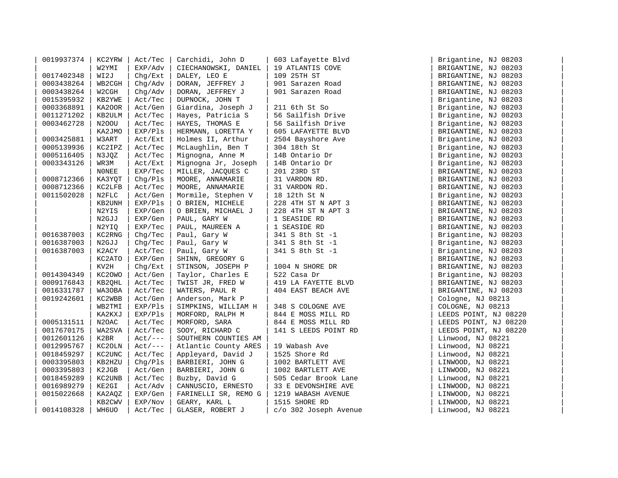| 0019937374 | KC2YRW       | Act/Tec    | Carchidi, John D     | 603 Lafayette Blvd    | Brigantine, NJ 08203  |  |
|------------|--------------|------------|----------------------|-----------------------|-----------------------|--|
|            | W2YMI        | EXP/Adv    | CIECHANOWSKI, DANIEL | 19 ATLANTIS COVE      | BRIGANTINE, NJ 08203  |  |
| 0017402348 | WI2J         | Chq/Ext    | DALEY, LEO E         | 109 25TH ST           | BRIGANTINE, NJ 08203  |  |
| 0003438264 | WB2CGH       | Chg/Adv    | DORAN, JEFFREY J     | 901 Sarazen Road      | BRIGANTINE, NJ 08203  |  |
| 0003438264 | W2CGH        | Chq/Adv    | DORAN, JEFFREY J     | 901 Sarazen Road      | BRIGANTINE, NJ 08203  |  |
| 0015395932 | KB2YWE       | Act/Tec    | DUPNOCK, JOHN T      |                       | Brigantine, NJ 08203  |  |
| 0003368891 | KA200R       | Act/Gen    | Giardina, Joseph J   | 211 6th St So         | Brigantine, NJ 08203  |  |
| 0011271202 | KB2ULM       | Act/Tec    | Hayes, Patricia S    | 56 Sailfish Drive     | Brigantine, NJ 08203  |  |
| 0003462728 | N200U        | Act/Tec    | HAYES, THOMAS E      | 56 Sailfish Drive     | Brigantine, NJ 08203  |  |
|            | KA2JMO       | EXP/Pls    | HERMANN, LORETTA Y   | 605 LAFAYETTE BLVD    | BRIGANTINE, NJ 08203  |  |
| 0003425881 | W3ART        | Act/Ext    | Holmes II, Arthur    | 2504 Bayshore Ave     | Brigantine, NJ 08203  |  |
| 0005139936 | KC2IPZ       | Act/Tec    | McLaughlin, Ben T    | 304 18th St           | Brigantine, NJ 08203  |  |
| 0005116405 | N3JQZ        | Act/Tec    | Mignogna, Anne M     | 14B Ontario Dr        | Brigantine, NJ 08203  |  |
| 0003343126 | WR3M         | Act/Ext    | Mignogna Jr, Joseph  | 14B Ontario Dr        | Brigantine, NJ 08203  |  |
|            | <b>NONEE</b> | EXP/Tec    | MILLER, JACQUES C    | 201 23RD ST           | BRIGANTINE, NJ 08203  |  |
| 0008712366 | KA3YQT       | Chq/Pls    | MOORE, ANNAMARIE     | 31 VARDON RD.         | BRIGANTINE, NJ 08203  |  |
| 0008712366 | KC2LFB       | Act/Tec    | MOORE, ANNAMARIE     | 31 VARDON RD.         | BRIGANTINE, NJ 08203  |  |
| 0011502028 | N2FLC        | Act/Gen    | Mormile, Stephen V   | 18 12th St N          | Brigantine, NJ 08203  |  |
|            | KB2UNH       | EXP/Pls    | O BRIEN, MICHELE     | 228 4TH ST N APT 3    | BRIGANTINE, NJ 08203  |  |
|            | N2YIS        | EXP/Gen    | O BRIEN, MICHAEL J   | 228 4TH ST N APT 3    | BRIGANTINE, NJ 08203  |  |
|            | N2GJJ        | EXP/Gen    | PAUL, GARY W         | 1 SEASIDE RD          | BRIGANTINE, NJ 08203  |  |
|            | N2YIQ        | EXP/Tec    | PAUL, MAUREEN A      | 1 SEASIDE RD          | BRIGANTINE, NJ 08203  |  |
| 0016387003 | KC2RNG       | Chq/Tec    | Paul, Gary W         | 341 S 8th St -1       | Brigantine, NJ 08203  |  |
| 0016387003 | N2GJJ        | Chq/Tec    | Paul, Gary W         | 341 S 8th St -1       | Brigantine, NJ 08203  |  |
| 0016387003 | K2ACY        | Act/Tec    | Paul, Gary W         | 341 S 8th St -1       | Brigantine, NJ 08203  |  |
|            | KC2ATO       | EXP/Gen    | SHINN, GREGORY G     |                       | BRIGANTINE, NJ 08203  |  |
|            | KV2H         | Chg/Ext    | STINSON, JOSEPH P    | 1004 N SHORE DR       | BRIGANTINE, NJ 08203  |  |
| 0014304349 | KC20WO       | Act/Gen    | Taylor, Charles E    | 522 Casa Dr           | Brigantine, NJ 08203  |  |
| 0009176843 | KB20HL       | Act/Tec    | TWIST JR, FRED W     | 419 LA FAYETTE BLVD   | BRIGANTINE, NJ 08203  |  |
| 0016331787 | WA30BA       | Act/Tec    | WATERS, PAUL R       | 404 EAST BEACH AVE    | BRIGANTINE, NJ 08203  |  |
| 0019242601 | KC2WBB       | Act/Gen    | Anderson, Mark P     |                       | Cologne, NJ 08213     |  |
|            | WB2TMI       | EXP/Pls    | SIMPKINS, WILLIAM H  | 348 S COLOGNE AVE     | COLOGNE, NJ 08213     |  |
|            | KA2KXJ       | EXP/Pls    | MORFORD, RALPH M     | 844 E MOSS MILL RD    | LEEDS POINT, NJ 08220 |  |
| 0005131511 | N2OAC        | Act/Tec    | MORFORD, SARA        | 844 E MOSS MILL RD    | LEEDS POINT, NJ 08220 |  |
| 0017670175 | WA2SVA       | Act/Tec    | SOOY, RICHARD C      | 141 S LEEDS POINT RD  | LEEDS POINT, NJ 08220 |  |
| 0012601126 | K2BR         | $Act /---$ | SOUTHERN COUNTIES AM |                       | Linwood, NJ 08221     |  |
| 0012995767 | KC2OLN       | $Act/---$  | Atlantic County ARES | 19 Wabash Ave         | Linwood, NJ 08221     |  |
| 0018459297 | KC2UNC       | Act/Tec    | Appleyard, David J   | 1525 Shore Rd         | Linwood, NJ 08221     |  |
| 0003395803 | KB2HZU       | Chq/Pls    | BARBIERI, JOHN G     | 1002 BARTLETT AVE     | LINWOOD, NJ 08221     |  |
| 0003395803 | K2JGB        | Act/Gen    | BARBIERI, JOHN G     | 1002 BARTLETT AVE     | LINWOOD, NJ 08221     |  |
| 0018459289 | KC2UNB       | Act/Tec    | Buzby, David G       | 505 Cedar Brook Lane  | Linwood, NJ 08221     |  |
| 0016989279 | KE2GI        | Act/Adv    | CANNUSCIO, ERNESTO   | 33 E DEVONSHIRE AVE   | LINWOOD, NJ 08221     |  |
| 0015022668 | KA2AQZ       | EXP/Gen    | FARINELLI SR, REMO G | 1219 WABASH AVENUE    | LINWOOD, NJ 08221     |  |
|            | KB2CWV       | EXP/Nov    | GEARY, KARL L        | 1515 SHORE RD         | LINWOOD, NJ 08221     |  |
| 0014108328 | WH6UO        | Act/Tec    | GLASER, ROBERT J     | c/o 302 Joseph Avenue | Linwood, NJ 08221     |  |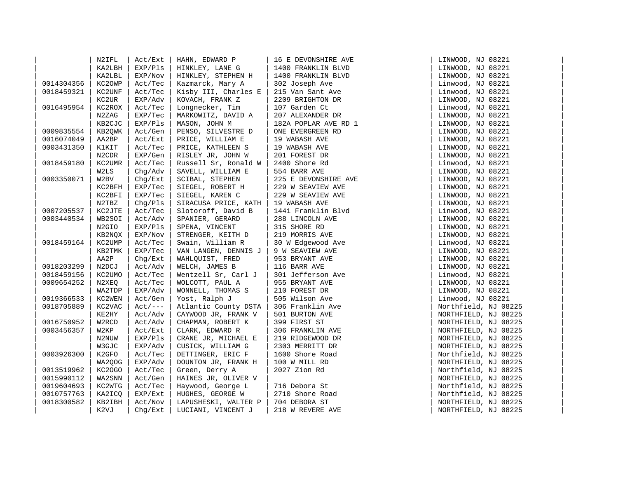|            | N2IFL              | Act/Ext    | HAHN, EDWARD P                          | 16 E DEVONSHIRE AVE                                                                                                                                                                                                                                                                                                                                               | LINWOOD, NJ 08221    |  |
|------------|--------------------|------------|-----------------------------------------|-------------------------------------------------------------------------------------------------------------------------------------------------------------------------------------------------------------------------------------------------------------------------------------------------------------------------------------------------------------------|----------------------|--|
|            | KA2LBH             | EXP/PIs    | HINKLEY, LANE G                         | 1400 FRANKLIN BLVD                                                                                                                                                                                                                                                                                                                                                | LINWOOD, NJ 08221    |  |
|            | KA2LBL             | EXP/Nov    | HINKLEY, STEPHEN H                      | 1400 FRANKLIN BLVD                                                                                                                                                                                                                                                                                                                                                | LINWOOD, NJ 08221    |  |
| 0014304356 | KC2OWP             | Act/Tec    | Kazmarck, Mary A                        | 302 Joseph Ave                                                                                                                                                                                                                                                                                                                                                    | Linwood, NJ 08221    |  |
| 0018459321 | KC2UNF             | Act/Tec    | Kisby III, Charles E                    | 302 Joseph Ave<br>215 Van Sant Ave                                                                                                                                                                                                                                                                                                                                | Linwood, NJ 08221    |  |
|            | KC2UR              | EXP/Adv    | KOVACH, FRANK Z                         | 2209 BRIGHTON DR                                                                                                                                                                                                                                                                                                                                                  | LINWOOD, NJ 08221    |  |
| 0016495954 | KC2ROX             | Act/Tec    | Longnecker, Tim                         | 107 Garden Ct                                                                                                                                                                                                                                                                                                                                                     | Linwood, NJ 08221    |  |
|            | N2ZAG              | EXP/Tec    | MARKOWITZ, DAVID A                      | 207 ALEXANDER DR                                                                                                                                                                                                                                                                                                                                                  | LINWOOD, NJ 08221    |  |
|            | KB2CJC             | EXP/Pls    | MASON, JOHN M                           | 182A POPLAR AVE RD 1                                                                                                                                                                                                                                                                                                                                              | LINWOOD, NJ 08221    |  |
| 0009835554 | KB2QWK             | Act/Gen    | PENSO, SILVESTRE D                      | ONE EVERGREEN RD                                                                                                                                                                                                                                                                                                                                                  | LINWOOD, NJ 08221    |  |
| 0016074049 | AA2BP              | Act/Ext    | PRICE, WILLIAM E                        | 19 WABASH AVE                                                                                                                                                                                                                                                                                                                                                     | LINWOOD, NJ 08221    |  |
| 0003431350 | K1KIT              | Act/Tec    | PRICE, KATHLEEN S                       | 19 WABASH AVE                                                                                                                                                                                                                                                                                                                                                     | LINWOOD, NJ 08221    |  |
|            | N <sub>2</sub> CDR | EXP/Gen    | RISLEY JR, JOHN W                       | 201 FOREST DR                                                                                                                                                                                                                                                                                                                                                     | LINWOOD, NJ 08221    |  |
| 0018459180 | KC2UMR             | Act/Tec    | Russell Sr, Ronald W   2400 Shore Rd    | 2400 Shore Rd<br>554 BARR AVE<br>225 E DEVONSHIRE AVE                                                                                                                                                                                                                                                                                                             | Linwood, NJ 08221    |  |
|            | W2LS               | Chq/Adv    | SAVELL, WILLIAM E                       |                                                                                                                                                                                                                                                                                                                                                                   | LINWOOD, NJ 08221    |  |
| 0003350071 | W2BV               | Chq/Ext    | SCIBAL, STEPHEN                         |                                                                                                                                                                                                                                                                                                                                                                   | LINWOOD, NJ 08221    |  |
|            | KC2BFH             | EXP/Tec    | SIEGEL, ROBERT H                        | 229 W SEAVIEW AVE                                                                                                                                                                                                                                                                                                                                                 | LINWOOD, NJ 08221    |  |
|            | KC2BFI             | EXP/Tec    | SIEGEL, KAREN C                         | 229 W SEAVIEW AVE                                                                                                                                                                                                                                                                                                                                                 | LINWOOD, NJ 08221    |  |
|            | N2TBZ              | Chg/Pls    | SIRACUSA PRICE, KATH                    | 19 WABASH AVE                                                                                                                                                                                                                                                                                                                                                     | LINWOOD, NJ 08221    |  |
| 0007205537 | KC2JTE             | Act/Tec    |                                         |                                                                                                                                                                                                                                                                                                                                                                   | Linwood, NJ 08221    |  |
| 0003440534 | WB2SOI             | Act/Adv    |                                         |                                                                                                                                                                                                                                                                                                                                                                   | LINWOOD, NJ 08221    |  |
|            | N2GIO              | EXP/Pls    |                                         |                                                                                                                                                                                                                                                                                                                                                                   | LINWOOD, NJ 08221    |  |
|            | KB2NQX             | EXP/Nov    |                                         |                                                                                                                                                                                                                                                                                                                                                                   | LINWOOD, NJ 08221    |  |
| 0018459164 | KC2UMP             | Act/Tec    |                                         | SIOLOTOIT, David B   1441 Franklin Blvd<br>SPANIER, GERARD   288 LINCOLN AVE<br>SPENA, VINCENT   315 SHORE RD<br>STRENGER, KEITH D   219 MORRIS AVE<br>Swain, William R   30 W Edgewood Ave<br>VAN LANGEN, DENNIS J   9 W SEAVIEW AVE<br>M<br>W Edgewood.<br>W SEAVIEW AVE<br>116 BARR AVE<br>116 BARR AVE<br>301 Jefferson Ave<br>25 BRYANT AVE<br>25 BRYANT AVE | Linwood, NJ 08221    |  |
|            | KB2TMK             | EXP/Tec    |                                         |                                                                                                                                                                                                                                                                                                                                                                   | LINWOOD, NJ 08221    |  |
|            | AA2P               | Chq/Ext    | WAHLOUIST, FRED                         |                                                                                                                                                                                                                                                                                                                                                                   | LINWOOD, NJ 08221    |  |
| 0018203299 | N2DCJ              | Act/Adv    | WELCH, JAMES B                          |                                                                                                                                                                                                                                                                                                                                                                   | LINWOOD, NJ 08221    |  |
| 0018459156 | KC2UMO             | Act/Tec    | Wentzell Sr, Carl J                     |                                                                                                                                                                                                                                                                                                                                                                   | Linwood, NJ 08221    |  |
| 0009654252 | N2XEQ              | Act/Tec    | WOLCOTT, PAUL A                         |                                                                                                                                                                                                                                                                                                                                                                   | LINWOOD, NJ 08221    |  |
|            | WA2TDP             | EXP/Adv    | WONNELL, THOMAS S                       |                                                                                                                                                                                                                                                                                                                                                                   | LINWOOD, NJ 08221    |  |
| 0019366533 | KC2WEN             | Act/Gen    | Yost, Ralph J                           |                                                                                                                                                                                                                                                                                                                                                                   | Linwood, NJ 08221    |  |
| 0018705889 | KC2VAC             | $Act /---$ | Atlantic County DSTA   306 Franklin Ave |                                                                                                                                                                                                                                                                                                                                                                   | Northfield, NJ 08225 |  |
|            | KE2HY              | Act/Adv    | CAYWOOD JR, FRANK V                     | 501 BURTON AVE                                                                                                                                                                                                                                                                                                                                                    | NORTHFIELD, NJ 08225 |  |
| 0016750952 | W2RCD              | Act/Adv    | CHAPMAN, ROBERT K                       | 399 FIRST ST                                                                                                                                                                                                                                                                                                                                                      | NORTHFIELD, NJ 08225 |  |
| 0003456357 | W2KP               | Act/Ext    | CLARK, EDWARD R                         | 306 FRANKLIN AVE                                                                                                                                                                                                                                                                                                                                                  | NORTHFIELD, NJ 08225 |  |
|            | N2NUW              | EXP/Pls    | CRANE JR, MICHAEL E                     | 219 RIDGEWOOD DR                                                                                                                                                                                                                                                                                                                                                  | NORTHFIELD, NJ 08225 |  |
|            | W3GJC              | EXP/Adv    | CUSICK, WILLIAM G                       | 2303 MERRITT DR                                                                                                                                                                                                                                                                                                                                                   | NORTHFIELD, NJ 08225 |  |
| 0003926300 | K2GFO              | Act/Tec    | DETTINGER, ERIC F                       | 1600 Shore Road                                                                                                                                                                                                                                                                                                                                                   | Northfield, NJ 08225 |  |
|            | WA2QOG             | EXP/Adv    | DOUNTON JR, FRANK H                     | 100 W MILL RD                                                                                                                                                                                                                                                                                                                                                     | NORTHFIELD, NJ 08225 |  |
| 0013519962 | KC20GO             | Act/Tec    | Green, Derry A                          | 2027 Zion Rd                                                                                                                                                                                                                                                                                                                                                      | Northfield, NJ 08225 |  |
| 0015990112 | WA2SNN             | Act/Gen    | HAINES JR, OLIVER V                     |                                                                                                                                                                                                                                                                                                                                                                   | NORTHFIELD, NJ 08225 |  |
| 0019604693 | KC2WTG             | Act/Tec    | Haywood, George L                       | 716 Debora St                                                                                                                                                                                                                                                                                                                                                     | Northfield, NJ 08225 |  |
| 0010757763 | KA2ICQ             | EXP/Ext    | HUGHES, GEORGE W                        | 2710 Shore Road                                                                                                                                                                                                                                                                                                                                                   | Northfield, NJ 08225 |  |
| 0018300582 | KB2IBH             | Act/Nov    | LAPUSHESKI, WALTER P                    | 704 DEBORA ST                                                                                                                                                                                                                                                                                                                                                     | NORTHFIELD, NJ 08225 |  |
|            | K2VJ               | Chq/Ext    | LUCIANI, VINCENT J                      | 218 W REVERE AVE                                                                                                                                                                                                                                                                                                                                                  | NORTHFIELD, NJ 08225 |  |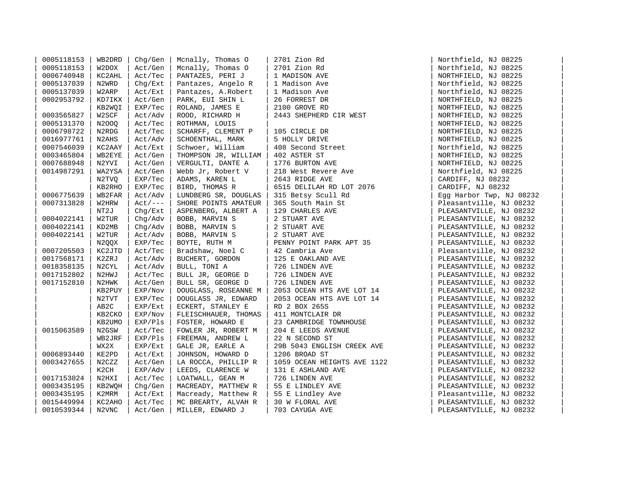| 0005118153 | WB2DRD            | $Chq/Gen$        | Mcnally, Thomas O                            | 2701 Zion Rd                                | Northfield, NJ 08225     |
|------------|-------------------|------------------|----------------------------------------------|---------------------------------------------|--------------------------|
| 0005118153 | W2DOX             | Act/Gen          | Mcnally, Thomas O                            | 2701 Zion Rd                                | Northfield, NJ 08225     |
| 0006740948 | KC2AHL            | Act/Tec          | PANTAZES, PERI J                             | 1 MADISON AVE                               | NORTHFIELD, NJ 08225     |
| 0005137039 | N2WRD             | Chg/Ext          | Pantazes, Angelo R                           | 1 Madison Ave                               | Northfield, NJ 08225     |
| 0005137039 | W2ARP             | Act/Ext          | Pantazes, A.Robert                           | 1 Madison Ave                               | Northfield, NJ 08225     |
| 0002953792 | KD7IKX            | Act/Gen          | PARK, EUI SHIN L                             | 26 FORREST DR                               | NORTHFIELD, NJ 08225     |
|            | KB2WQI            | EXP/Tec          | ROLAND, JAMES E                              | 2100 GROVE RD                               | NORTHFIELD, NJ 08225     |
| 0003565827 | W2SCF             | Act/Adv          | ROOD, RICHARD H                              | 2443 SHEPHERD CIR WEST                      | NORTHFIELD, NJ 08225     |
| 0005131370 | N2000             | Act/Tec          | ROTHMAN, LOUIS                               |                                             | NORTHFIELD, NJ 08225     |
| 0006798722 | N2RDG             | Act/Tec          | SCHARFF, CLEMENT P                           | 105 CIRCLE DR                               | NORTHFIELD, NJ 08225     |
| 0016977761 | N2AHS             | Act/Adv          | SCHOENTHAL, MARK                             | 5 HOLLY DRIVE                               | NORTHFIELD, NJ 08225     |
| 0007546039 | KC2AAY            | Act/Ext          | Schwoer, William                             | 408 Second Street                           | Northfield, NJ 08225     |
| 0003465804 | WB2EYE            | Act/Gen          | THOMPSON JR, WILLIAM                         | 402 ASTER ST                                | NORTHFIELD, NJ 08225     |
| 0007688948 | N2YVI             | Act/Gen          | VERGULTI, DANTE A                            | 1776 BURTON AVE                             | NORTHFIELD, NJ 08225     |
| 0014987291 | WA2YSA            | Act/Gen          | Webb Jr, Robert V                            | 218 West Revere Ave                         | Northfield, NJ 08225     |
|            | N2TVQ             | EXP/Tec          | ADAMS, KAREN L                               | 2643 RIDGE AVE                              | CARDIFF, NJ 08232        |
|            | KB2RHO            | EXP/Tec          | BIRD, THOMAS R                               | $\vert$ 6515 DELILAH RD LOT 2076            | CARDIFF, NJ 08232        |
| 0006775639 | WB2FAR            | Act/Adv          | LUNDBERG SR, DOUGLAS   315 Betsy Scull Rd    |                                             | Egg Harbor Twp, NJ 08232 |
| 0007313828 | W2HRW             | $Act/\text{---}$ | SHORE POINTS AMATEUR                         | 365 South Main St                           | Pleasantville, NJ 08232  |
|            | NT2J              | Chq/Ext          | ASPENBERG, ALBERT A                          | 129 CHARLES AVE                             | PLEASANTVILLE, NJ 08232  |
| 0004022141 | W2TUR             | Chg/Adv          | BOBB, MARVIN S                               | 2 STUART AVE                                | PLEASANTVILLE, NJ 08232  |
| 0004022141 | KD2MB             | Chg/Adv          | BOBB, MARVIN S                               | 2 STUART AVE                                | PLEASANTVILLE, NJ 08232  |
| 0004022141 | W2TUR             | Act/Adv          | BOBB, MARVIN S   2 STUART AVE                |                                             | PLEASANTVILLE, NJ 08232  |
|            | N2QQX             | EXP/Tec          | BOYTE, RUTH M                                | PENNY POINT PARK APT 35<br>  42 Cambria Ave | PLEASANTVILLE, NJ 08232  |
| 0007205503 | KC2JTD            | Act/Tec          | Bradshaw, Noel C                             | 42 Cambria Ave                              | Pleasantville, NJ 08232  |
| 0017568171 | K2ZRJ             | Act/Adv          | BUCHERT, GORDON                              | 125 E OAKLAND AVE                           | PLEASANTVILLE, NJ 08232  |
| 0018358135 | N2CYL             | Act/Adv          | BULL, TONI A                                 | 726 LINDEN AVE                              | PLEASANTVILLE, NJ 08232  |
| 0017152802 | N2HWJ             | Act/Tec          | BULL JR, GEORGE D                            | 726 LINDEN AVE                              | PLEASANTVILLE, NJ 08232  |
| 0017152810 | N2HWK             | Act/Gen          | BULL SR, GEORGE D                            | 726 LINDEN AVE                              | PLEASANTVILLE, NJ 08232  |
|            | KB2PUY            | EXP/Nov          | DOUGLASS, ROSEANNE M                         | 2053 OCEAN HTS AVE LOT 14                   | PLEASANTVILLE, NJ 08232  |
|            | N2TVT             | EXP/Tec          | DOUGLASS JR, EDWARD                          | 2053 OCEAN HTS AVE LOT 14                   | PLEASANTVILLE, NJ 08232  |
|            | AB <sub>2</sub> C | EXP/Ext          | ECKERT, STANLEY E                            | RD 2 BOX 265S                               | PLEASANTVILLE, NJ 08232  |
|            | KB2CKO            | EXP/Nov          | FLEISCHHAUER, THOMAS                         | 411 MONTCLAIR DR                            | PLEASANTVILLE, NJ 08232  |
|            | KB2UMO            | EXP/Pls          | FOSTER, HOWARD E                             | 23 CAMBRIDGE TOWNHOUSE                      | PLEASANTVILLE, NJ 08232  |
| 0015063589 | N2GSW             | Act/Tec          | FOWLER JR, ROBERT M                          | 204 E LEEDS AVENUE                          | PLEASANTVILLE, NJ 08232  |
|            | WB2JRF            | EXP/Pls          | FREEMAN, ANDREW L                            | 22 N SECOND ST                              | PLEASANTVILLE, NJ 08232  |
|            | WX2X              | EXP/Ext          | GALE JR, EARLE A                             | 29B 5043 ENGLISH CREEK AVE                  | PLEASANTVILLE, NJ 08232  |
| 0006893440 | KE2PD             | Act/Ext          | JOHNSON, HOWARD D                            | 1206 BROAD ST                               | PLEASANTVILLE, NJ 08232  |
| 0003427655 | N2CZZ             | Act/Gen          | LA ROCCA, PHILLIP R                          | 1059 OCEAN HEIGHTS AVE 1122                 | PLEASANTVILLE, NJ 08232  |
|            | K2CH              | EXP/Adv          | LEEDS, CLARENCE W                            | 131 E ASHLAND AVE                           | PLEASANTVILLE, NJ 08232  |
| 0017153024 | N2HXI             | Act/Tec          | LOATWALL, GEAN M                             | 726 LINDEN AVE                              | PLEASANTVILLE, NJ 08232  |
| 0003435195 | KB2WQH            | Chg/Gen          | MACREADY, MATTHEW R   55 E LINDLEY AVE       |                                             | PLEASANTVILLE, NJ 08232  |
| 0003435195 | K2MRM             | Act/Ext          | Macready, Matthew R $\vert$ 55 E Lindley Ave |                                             | Pleasantville, NJ 08232  |
| 0015449994 | KC2AHO            | Act/Tec          | MC BREARTY, ALVAH R                          | 30 W FLORAL AVE                             | PLEASANTVILLE, NJ 08232  |
| 0010539344 | N2VNC             | Act/Gen          | MILLER, EDWARD J                             | 703 CAYUGA AVE                              | PLEASANTVILLE, NJ 08232  |

| Northfield,     | ΝJ       | 08225    |          |
|-----------------|----------|----------|----------|
| Northfield,     | ΝJ       | 08225    |          |
| NORTHFIELD,     | ΝJ       | 08225    |          |
| Northfield,     | ΝJ       | 08225    |          |
| Northfield,     | ΝJ       | 08225    |          |
| NORTHFIELD,     | ΝJ       | 08225    |          |
| NORTHFIELD,     | ΝJ       | 08225    |          |
| NORTHFIELD,     | ΝJ       | 08225    |          |
| NORTHFIELD,     | ΝJ       | 08225    |          |
| NORTHFIELD,     | ΝJ       | 08225    |          |
| NORTHFIELD,     | ΝJ       | 08225    |          |
| Northfield,     | ΝJ       | 08225    |          |
| NORTHFIELD,     | ΝJ       | 08225    |          |
| NORTHFIELD,     | NJ       | 08225    |          |
| Northfield,     | NJ       | 08225    |          |
| CARDIFF,<br>ΝJ  | 08232    |          |          |
| CARDIFF,        | NJ 08232 |          |          |
| Egg Harbor Twp, |          |          | NJ 08232 |
| Pleasantville,  |          | ΝJ       | 08232    |
| PLEASANTVILLE,  |          | ΝJ       | 08232    |
| PLEASANTVILLE,  |          | ΝJ       | 08232    |
| PLEASANTVILLE,  |          | ΝJ       | 08232    |
| PLEASANTVILLE,  |          | NJ 08232 |          |
| PLEASANTVILLE,  |          | ΝJ       | 08232    |
| Pleasantville,  |          | ΝJ       | 08232    |
| PLEASANTVILLE,  |          | ΝJ       | 08232    |
| PLEASANTVILLE,  |          | ΝJ       | 08232    |
| PLEASANTVILLE,  |          | ΝJ       | 08232    |
| PLEASANTVILLE,  |          | NJ       | 08232    |
| PLEASANTVILLE,  |          | ΝJ       | 08232    |
| PLEASANTVILLE,  |          | ΝJ       | 08232    |
| PLEASANTVILLE,  |          | ΝJ       | 08232    |
| PLEASANTVILLE,  |          | ΝJ       | 08232    |
| PLEASANTVILLE,  |          | ΝJ       | 08232    |
| PLEASANTVILLE,  |          | ΝJ       | 08232    |
| PLEASANTVILLE,  |          | ΝJ       | 08232    |
| PLEASANTVILLE,  |          | ΝJ       | 08232    |
| PLEASANTVILLE,  |          | ΝJ       | 08232    |
| PLEASANTVILLE,  |          | ΝJ       | 08232    |
| PLEASANTVILLE,  |          | ΝJ       | 08232    |
| PLEASANTVILLE,  |          | ΝJ       | 08232    |
| PLEASANTVILLE,  |          | ΝJ       | 08232    |
| Pleasantville,  |          | ΝJ       | 08232    |
| PLEASANTVILLE,  |          | ΝJ       | 08232    |
| PLEASANTVILLE,  |          | ΝJ       | 08232    |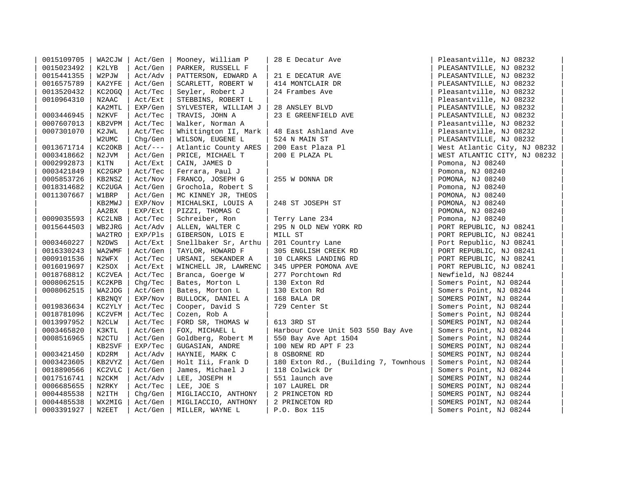| 0015109705 | WA2CJW | Act/Gen    | Mooney, William P    | 28 E Decatur Ave                     | Pleasantville, NJ 08232      |
|------------|--------|------------|----------------------|--------------------------------------|------------------------------|
| 0015023492 | K2LYB  | Act/Gen    | PARKER, RUSSELL F    |                                      | PLEASANTVILLE, NJ 08232      |
| 0015441355 | W2PJW  | Act/Adv    | PATTERSON, EDWARD A  | 21 E DECATUR AVE                     | PLEASANTVILLE, NJ 08232      |
| 0016575789 | KA2YFE | Act/Gen    | SCARLETT, ROBERT W   | 414 MONTCLAIR DR                     | PLEASANTVILLE, NJ 08232      |
| 0013520432 | KC20GQ | Act/Tec    | Seyler, Robert J     | 24 Frambes Ave                       | Pleasantville, NJ 08232      |
| 0010964310 | N2AAC  | Act/Ext    | STEBBINS, ROBERT L   |                                      | Pleasantville, NJ 08232      |
|            | KA2MTL | EXP/Gen    | SYLVESTER, WILLIAM J | 28 ANSLEY BLVD                       | PLEASANTVILLE, NJ 08232      |
| 0003446945 | N2KVF  | Act/Tec    | TRAVIS, JOHN A       | 23 E GREENFIELD AVE                  | PLEASANTVILLE, NJ 08232      |
| 0007607013 | KB2VPM | Act/Tec    | Walker, Norman A     |                                      | Pleasantville, NJ 08232      |
| 0007301070 | K2JWL  | Act/Tec    | Whittington II, Mark | 48 East Ashland Ave                  | Pleasantville, NJ 08232      |
|            | W2UMC  | Chq/Gen    | WILSON, EUGENE L     | 524 N MAIN ST                        | PLEASANTVILLE, NJ 08232      |
| 0013671714 | KC20KB | $Act /---$ | Atlantic County ARES | 200 East Plaza Pl                    | West Atlantic City, NJ 08232 |
| 0003418662 | N2JVM  | Act/Gen    | PRICE, MICHAEL T     | 200 E PLAZA PL                       | WEST ATLANTIC CITY, NJ 08232 |
| 0002992873 | K1TN   | Act/Ext    | CAIN, JAMES D        |                                      | Pomona, NJ 08240             |
| 0003421849 | KC2GKP | Act/Tec    | Ferrara, Paul J      |                                      | Pomona, NJ 08240             |
| 0005853726 | KB2NSZ | Act/Nov    | FRANCO, JOSEPH G     | 255 W DONNA DR                       | POMONA, NJ 08240             |
| 0018314682 | KC2UGA | Act/Gen    | Grochola, Robert S   |                                      | Pomona, NJ 08240             |
| 0011307667 | W1BRP  | Act/Gen    | MC KINNEY JR, THEOS  |                                      | POMONA, NJ 08240             |
|            | KB2MWJ | EXP/Nov    | MICHALSKI, LOUIS A   | 248 ST JOSEPH ST                     | POMONA, NJ 08240             |
|            | AA2BX  | EXP/Ext    | PIZZI, THOMAS C      |                                      | POMONA, NJ 08240             |
| 0009035593 | KC2LNB | Act/Tec    | Schreiber, Ron       | Terry Lane 234                       | Pomona, NJ 08240             |
| 0015644503 | WB2JRG | Act/Adv    | ALLEN, WALTER C      | 295 N OLD NEW YORK RD                | PORT REPUBLIC, NJ 08241      |
|            | WA2TRO | EXP/Pls    | GIBERSON, LOIS E     | MILL ST                              | PORT REPUBLIC, NJ 08241      |
| 0003460227 | N2DWS  | Act/Ext    | Snellbaker Sr, Arthu | 201 Country Lane                     | Port Republic, NJ 08241      |
| 0016330243 | WA2WMF | Act/Gen    | TAYLOR, HOWARD F     | 305 ENGLISH CREEK RD                 | PORT REPUBLIC, NJ 08241      |
| 0009101536 | N2WFX  | Act/Tec    | URSANI, SEKANDER A   | 10 CLARKS LANDING RD                 | PORT REPUBLIC, NJ 08241      |
| 0016019697 | K2SOX  | Act/Ext    | WINCHELL JR, LAWRENC | 345 UPPER POMONA AVE                 | PORT REPUBLIC, NJ 08241      |
| 0018768812 | KC2VEA | Act/Tec    | Branca, Goerge W     | 277 Porchtown Rd                     | Newfield, NJ 08244           |
| 0008062515 | KC2KPB | Chq/Tec    | Bates, Morton L      | 130 Exton Rd                         | Somers Point, NJ 08244       |
| 0008062515 | WA2JDG | Act/Gen    | Bates, Morton L      | 130 Exton Rd                         | Somers Point, NJ 08244       |
|            | KB2NQY | EXP/Nov    | BULLOCK, DANIEL A    | 168 BALA DR                          | SOMERS POINT, NJ 08244       |
| 0019836634 | KC2YLY | Act/Tec    | Cooper, David S      | 729 Center St                        | Somers Point, NJ 08244       |
| 0018781096 | KC2VFM | Act/Tec    | Cozen, Rob A         |                                      | Somers Point, NJ 08244       |
| 0013997952 | N2CLW  | Act/Tec    | FORD SR, THOMAS W    | 613 3RD ST                           | SOMERS POINT, NJ 08244       |
| 0003465820 | K3KTL  | Act/Gen    | FOX, MICHAEL L       | Harbour Cove Unit 503 550 Bay Ave    | Somers Point, NJ 08244       |
| 0008516965 | N2CTU  | Act/Gen    | Goldberg, Robert M   | 550 Bay Ave Apt 1504                 | Somers Point, NJ 08244       |
|            | KB2SVF | EXP/Tec    | GUGASIAN, ANDRE      | 100 NEW RD APT F 23                  | SOMERS POINT, NJ 08244       |
| 0003421450 | KD2RM  | Act/Adv    | HAYNIE, MARK C       | 8 OSBORNE RD                         | SOMERS POINT, NJ 08244       |
| 0003423605 | KB2VYZ | Act/Gen    | Holt Iii, Frank D    | 180 Exton Rd., (Building 7, Townhous | Somers Point, NJ 08244       |
| 0018890566 | KC2VLC | Act/Gen    | James, Michael J     | 118 Colwick Dr                       | Somers Point, NJ 08244       |
| 0017516741 | N2CKM  | Act/Adv    | LEE, JOSEPH H        | 551 launch ave                       | SOMERS POINT, NJ 08244       |
| 0006685655 | N2RKY  | Act/Tec    | LEE, JOE S           | 107 LAUREL DR                        | SOMERS POINT, NJ 08244       |
| 0004485538 | N2ITH  | Chq/Gen    | MIGLIACCIO, ANTHONY  | 2 PRINCETON RD                       | SOMERS POINT, NJ 08244       |
| 0004485538 | WX2MIG | Act/Gen    | MIGLIACCIO, ANTHONY  | 2 PRINCETON RD                       | SOMERS POINT, NJ 08244       |
| 0003391927 | N2EET  | Act/Gen    | MILLER, WAYNE L      | P.O. Box 115                         | Somers Point, NJ 08244       |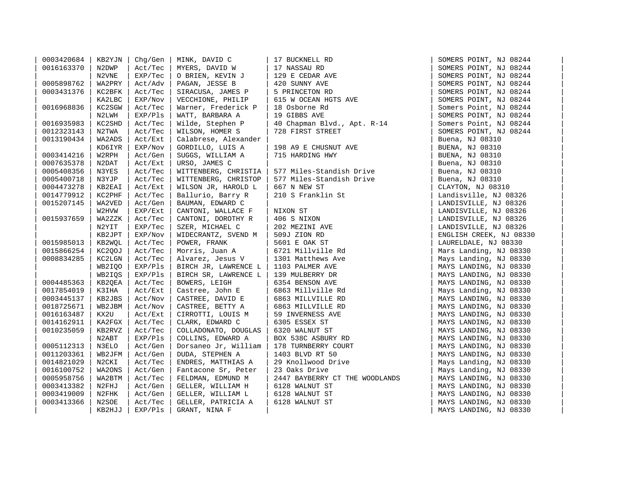| 0003420684 | KB2YJN | Chq/Gen | MINK, DAVID C        | 17 BUCKNELL RD                 | SOMERS POINT, NJ 08244  |
|------------|--------|---------|----------------------|--------------------------------|-------------------------|
| 0016163370 | N2DWP  | Act/Tec | MYERS, DAVID W       | 17 NASSAU RD                   | SOMERS POINT, NJ 08244  |
|            | N2VNE  | EXP/Tec | O BRIEN, KEVIN J     | 129 E CEDAR AVE                | SOMERS POINT, NJ 08244  |
| 0005898762 | WA2PRY | Act/Adv | PAGAN, JESSE B       | 420 SUNNY AVE                  | SOMERS POINT, NJ 08244  |
| 0003431376 | KC2BFK | Act/Tec | SIRACUSA, JAMES P    | 5 PRINCETON RD                 | SOMERS POINT, NJ 08244  |
|            | KA2LBC | EXP/Nov | VECCHIONE, PHILIP    | 615 W OCEAN HGTS AVE           | SOMERS POINT, NJ 08244  |
| 0016968836 | KC2SGW | Act/Tec | Warner, Frederick P  | 18 Osborne Rd                  | Somers Point, NJ 08244  |
|            | N2LWH  | EXP/Pls | WATT, BARBARA A      | 19 GIBBS AVE                   | SOMERS POINT, NJ 08244  |
| 0016935983 | KC2SHD | Act/Tec | Wilde, Stephen P     | 40 Chapman Blvd., Apt. R-14    | Somers Point, NJ 08244  |
| 0012323143 | N2TWA  | Act/Tec | WILSON, HOMER S      | 728 FIRST STREET               | SOMERS POINT, NJ 08244  |
| 0013190434 | WA2ADS | Act/Ext | Calabrese, Alexander |                                | Buena, NJ 08310         |
|            | KD6IYR | EXP/Nov | GORDILLO, LUIS A     | 198 A9 E CHUSNUT AVE           | BUENA, NJ 08310         |
| 0003414216 | W2RPH  | Act/Gen | SUGGS, WILLIAM A     | 715 HARDING HWY                | BUENA, NJ 08310         |
| 0007635378 | N2DAT  | Act/Ext | URSO, JAMES C        |                                | Buena, NJ 08310         |
| 0005408356 | N3YES  | Act/Tec | WITTENBERG, CHRISTIA | 577 Miles-Standish Drive       | Buena, NJ 08310         |
| 0005400718 | N3YJP  | Act/Tec | WITTENBERG, CHRISTOP | 577 Miles-Standish Drive       | Buena, NJ 08310         |
| 0004473278 | KB2EAI | Act/Ext | WILSON JR, HAROLD L  | 667 N NEW ST                   | CLAYTON, NJ 08310       |
| 0014779912 | KC2PHF | Act/Tec | Ballurio, Barry R    | 210 S Franklin St              | Landisville, NJ 08326   |
| 0015207145 | WA2VED | Act/Gen | BAUMAN, EDWARD C     |                                | LANDISVILLE, NJ 08326   |
|            | W2HVW  | EXP/Ext | CANTONI, WALLACE F   | NIXON ST                       | LANDISVILLE, NJ 08326   |
| 0015937659 | WA2ZZK | Act/Tec | CANTONI, DOROTHY R   | 406 S NIXON                    | LANDISVILLE, NJ 08326   |
|            | N2YIT  | EXP/Tec | SZER, MICHAEL C      | 202 MEZINI AVE                 | LANDISVILLE, NJ 08326   |
|            | KB2JPT | EXP/Nov | WIDECRANTZ, SVEND M  | 509J ZION RD                   | ENGLISH CREEK, NJ 08330 |
| 0015985013 | KB2WOL | Act/Tec | POWER, FRANK         | 5601 E OAK ST                  | LAURELDALE, NJ 08330    |
| 0015866254 | KC2QOJ | Act/Tec | Morris, Juan A       | 6721 Millville Rd              | Mars Landing, NJ 08330  |
| 0008834285 | KC2LGN | Act/Tec | Alvarez, Jesus V     | 1301 Matthews Ave              | Mays Landing, NJ 08330  |
|            | WB2IQO | EXP/Pls | BIRCH JR, LAWRENCE L | 1103 PALMER AVE                | MAYS LANDING, NJ 08330  |
|            | WB2IOS | EXP/Pls | BIRCH SR, LAWRENCE L | 139 MULBERRY DR                | MAYS LANDING, NJ 08330  |
| 0004485363 | KB20EA | Act/Tec | BOWERS, LEIGH        | 6354 BENSON AVE                | MAYS LANDING, NJ 08330  |
| 0017854019 | K3IHA  | Act/Ext | Castree, John E      | 6863 Millville Rd              | Mays Landing, NJ 08330  |
| 0003445137 | KB2JBS | Act/Nov | CASTREE, DAVID E     | 6863 MILLVILLE RD              | MAYS LANDING, NJ 08330  |
| 0018725671 | WB2JBM | Act/Nov | CASTREE, BETTY A     | 6863 MILLVILLE RD              | MAYS LANDING, NJ 08330  |
| 0016163487 | KX2U   | Act/Ext | CIRROTTI, LOUIS M    | 59 INVERNESS AVE               | MAYS LANDING, NJ 08330  |
| 0014162911 | KA2FGX | Act/Tec | CLARK, EDWARD C      | 6305 ESSEX ST                  | MAYS LANDING, NJ 08330  |
| 0010235059 | KB2RVZ | Act/Tec | COLLADONATO, DOUGLAS | 6320 WALNUT ST                 | MAYS LANDING, NJ 08330  |
|            | N2ABT  | EXP/Pls | COLLINS, EDWARD A    | BOX 538C ASBURY RD             | MAYS LANDING, NJ 08330  |
| 0005112313 | N3ELO  | Act/Gen | Dorsaneo Jr, William | 178 TURNBERRY COURT            | MAYS LANDING, NJ 08330  |
| 0011203361 | WB2JFM | Act/Gen | DUDA, STEPHEN A      | 1403 BLVD RT 50                | MAYS LANDING, NJ 08330  |
| 0014821029 | N2CKI  | Act/Tec | ENDRES, MATTHIAS A   | 29 Knollwood Drive             | Mays Landing, NJ 08330  |
| 0016100752 | WA2ONS | Act/Gen | Fantacone Sr, Peter  | 23 Oaks Drive                  | Mays Landing, NJ 08330  |
| 0005958756 | WA2BTM | Act/Tec | FELDMAN, EDMUND M    | 2447 BAYBERRY CT THE WOODLANDS | MAYS LANDING, NJ 08330  |
| 0003413382 | N2FHJ  | Act/Gen | GELLER, WILLIAM H    | 6128 WALNUT ST                 | MAYS LANDING, NJ 08330  |
| 0003419009 | N2FHK  | Act/Gen | GELLER, WILLIAM L    | 6128 WALNUT ST                 | MAYS LANDING, NJ 08330  |
| 0003413366 | N2SOE  | Act/Tec | GELLER, PATRICIA A   | 6128 WALNUT ST                 | MAYS LANDING, NJ 08330  |
|            | KB2HJJ | EXP/Pls | GRANT, NINA F        |                                | MAYS LANDING, NJ 08330  |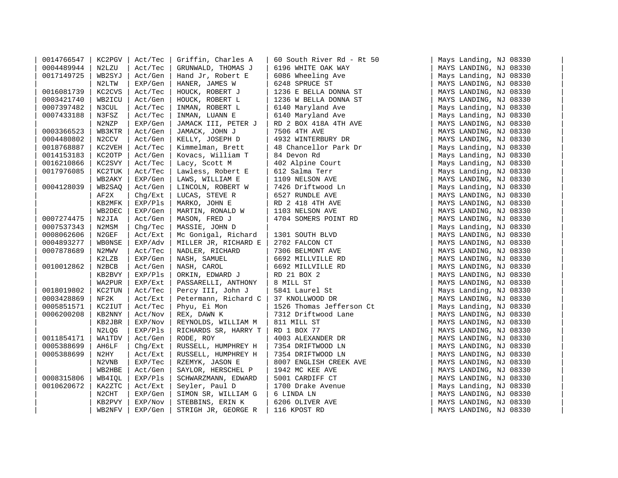| 0014766547 | KC2PGV             | Act/Tec | Griffin, Charles A   | 60 South River Rd - Rt 50 | Mays Landing, NJ 08330 |
|------------|--------------------|---------|----------------------|---------------------------|------------------------|
| 0004489944 | N2LZU              | Act/Tec | GRUNWALD, THOMAS J   | 6196 WHITE OAK WAY        | MAYS LANDING, NJ 08330 |
| 0017149725 | WB2SYJ             | Act/Gen | Hand Jr, Robert E    | 6086 Wheeling Ave         | Mays Landing, NJ 08330 |
|            | N2LTW              | EXP/Gen | HANER, JAMES W       | 6248 SPRUCE ST            | MAYS LANDING, NJ 08330 |
| 0016081739 | KC2CVS             | Act/Tec | HOUCK, ROBERT J      | 1236 E BELLA DONNA ST     | MAYS LANDING, NJ 08330 |
| 0003421740 | WB2ICU             | Act/Gen | HOUCK, ROBERT L      | 1236 W BELLA DONNA ST     | MAYS LANDING, NJ 08330 |
| 0007397482 | N3CUL              | Act/Tec | INMAN, ROBERT L      | 6140 Maryland Ave         | Mays Landing, NJ 08330 |
| 0007433188 | N3FSZ              | Act/Tec | INMAN, LUANN E       | 6140 Maryland Ave         | Mays Landing, NJ 08330 |
|            | N2NZP              | EXP/Gen | JAMACK III, PETER J  | RD 2 BOX 418A 4TH AVE     | MAYS LANDING, NJ 08330 |
| 0003366523 | WB3KTR             | Act/Gen | JAMACK, JOHN J       | 7506 4TH AVE              | MAYS LANDING, NJ 08330 |
| 0004480802 | N <sub>2</sub> CCV | Act/Gen | KELLY, JOSEPH D      | 4932 WINTERBURY DR        | MAYS LANDING, NJ 08330 |
| 0018768887 | KC2VEH             | Act/Tec | Kimmelman, Brett     | 48 Chancellor Park Dr     | Mays Landing, NJ 08330 |
| 0014153183 | KC2OTP             | Act/Gen | Kovacs, William T    | 84 Devon Rd               | Mays Landing, NJ 08330 |
| 0016210866 | KC2SVY             | Act/Tec | Lacy, Scott M        | 402 Alpine Court          | Mays Landing, NJ 08330 |
| 0017976085 | KC2TUK             | Act/Tec | Lawless, Robert E    | 612 Salma Terr            | Mays Landing, NJ 08330 |
|            | WB2AKY             | EXP/Gen | LAWS, WILLIAM E      | 1109 NELSON AVE           | MAYS LANDING, NJ 08330 |
| 0004128039 | WB2SAO             | Act/Gen | LINCOLN, ROBERT W    | 7426 Driftwood Ln         | Mays Landing, NJ 08330 |
|            | AF2X               | Chg/Ext | LUCAS, STEVE R       | 6527 RUNDLE AVE           | MAYS LANDING, NJ 08330 |
|            | KB2MFK             | EXP/Pls | MARKO, JOHN E        | RD 2 418 4TH AVE          | MAYS LANDING, NJ 08330 |
|            | WB2DEC             | EXP/Gen | MARTIN, RONALD W     | 1103 NELSON AVE           | MAYS LANDING, NJ 08330 |
| 0007274475 | N2JIA              | Act/Gen | MASON, FRED J        | 4704 SOMERS POINT RD      | MAYS LANDING, NJ 08330 |
| 0007537343 | N2MSM              | Chq/Tec | MASSIE, JOHN D       |                           | Mays Landing, NJ 08330 |
| 0008062606 | N2GEF              | Act/Ext | Mc Gonigal, Richard  | 1301 SOUTH BLVD           | MAYS LANDING, NJ 08330 |
| 0004893277 | <b>WBONSE</b>      | EXP/Adv | MILLER JR, RICHARD E | 2702 FALCON CT            | MAYS LANDING, NJ 08330 |
| 0007878689 | N2MWV              | Act/Tec | NADLER, RICHARD      | 7306 BELMONT AVE          | MAYS LANDING, NJ 08330 |
|            | K2LZB              | EXP/Gen | NASH, SAMUEL         | 6692 MILLVILLE RD         | MAYS LANDING, NJ 08330 |
| 0010012862 | N2BCB              | Act/Gen | NASH, CAROL          | 6692 MILLVILLE RD         | MAYS LANDING, NJ 08330 |
|            | KB2BVY             | EXP/Pls | ORKIN, EDWARD J      | RD 21 BOX 2               | MAYS LANDING, NJ 08330 |
|            | WA2PUR             | EXP/Ext | PASSARELLI, ANTHONY  | 8 MILL ST                 | MAYS LANDING, NJ 08330 |
| 0018019802 | KC2TUN             | Act/Tec | Percy III, John J    | 5841 Laurel St            | Mays Landing, NJ 08330 |
| 0003428869 | NF2K               | Act/Ext | Petermann, Richard C | 37 KNOLLWOOD DR           | MAYS LANDING, NJ 08330 |
| 0005851571 | KC2IUT             | Act/Tec | Phyu, Ei Mon         | 1526 Thomas Jefferson Ct  | Mays Landing, NJ 08330 |
| 0006200208 | KB2NNY             | Act/Nov | REX, DAWN K          | 7312 Driftwood Lane       | MAYS LANDING, NJ 08330 |
|            | KB2JBR             | EXP/Nov | REYNOLDS, WILLIAM M  | 811 MILL ST               | MAYS LANDING, NJ 08330 |
|            | N2LQG              | EXP/Pls | RICHARDS SR, HARRY T | RD 1 BOX 77               | MAYS LANDING, NJ 08330 |
| 0011854171 | <b>WA1TDV</b>      | Act/Gen | RODE, ROY            | 4003 ALEXANDER DR         | MAYS LANDING, NJ 08330 |
| 0005388699 | AH6LF              | Chq/Ext | RUSSELL, HUMPHREY H  | 7354 DRIFTWOOD LN         | MAYS LANDING, NJ 08330 |
| 0005388699 | N2HY               | Act/Ext | RUSSELL, HUMPHREY H  | 7354 DRIFTWOOD LN         | MAYS LANDING, NJ 08330 |
|            | N2VNB              | EXP/Tec | RZEMYK, JASON E      | 8007 ENGLISH CREEK AVE    | MAYS LANDING, NJ 08330 |
|            | WB2HBE             | Act/Gen | SAYLOR, HERSCHEL P   | 1942 MC KEE AVE           | MAYS LANDING, NJ 08330 |
| 0008315806 | WB4IOL             | EXP/Pls | SCHWARZMANN, EDWARD  | 5001 CARDIFF CT           | MAYS LANDING, NJ 08330 |
| 0010620672 | KA2ZTC             | Act/Ext | Seyler, Paul D       | 1700 Drake Avenue         | Mays Landing, NJ 08330 |
|            | N2CHT              | EXP/Gen | SIMON SR, WILLIAM G  | 6 LINDA LN                | MAYS LANDING, NJ 08330 |
|            | KB2PVY             | EXP/Nov | STEBBINS, ERIN K     | 6206 OLIVER AVE           | MAYS LANDING, NJ 08330 |
|            | WB2NFV             | EXP/Gen | STRIGH JR, GEORGE R  | 116 KPOST RD              | MAYS LANDING, NJ 08330 |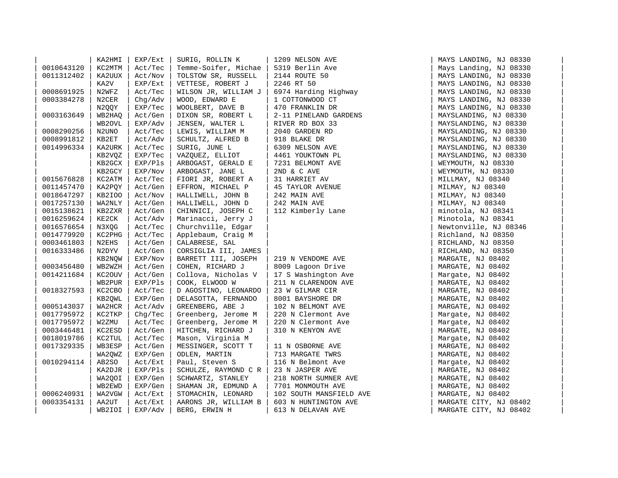|            | KA2HMI | EXP/Ext | SURIG, ROLLIN K      | 1209 NELSON AVE                                                                                                                                                                                                   | MAYS LANDING, NJ 08330 |  |
|------------|--------|---------|----------------------|-------------------------------------------------------------------------------------------------------------------------------------------------------------------------------------------------------------------|------------------------|--|
| 0010643120 | KC2MTM | Act/Tec | Temme-Soifer, Michae | 5319 Berlin Ave                                                                                                                                                                                                   | Mays Landing, NJ 08330 |  |
| 0011312402 | KA2UUX | Act/Nov | TOLSTOW SR, RUSSELL  | 2144 ROUTE 50                                                                                                                                                                                                     | MAYS LANDING, NJ 08330 |  |
|            | KA2V   | EXP/Ext | VETTESE, ROBERT J    | 2246 RT 50                                                                                                                                                                                                        | MAYS LANDING, NJ 08330 |  |
| 0008691925 | N2WFZ  | Act/Tec | WILSON JR, WILLIAM J |                                                                                                                                                                                                                   | MAYS LANDING, NJ 08330 |  |
| 0003384278 | N2CER  | Chq/Adv | WOOD, EDWARD E       |                                                                                                                                                                                                                   | MAYS LANDING, NJ 08330 |  |
|            | N2QQY  | EXP/Tec | WOOLBERT, DAVE B     |                                                                                                                                                                                                                   | MAYS LANDING, NJ 08330 |  |
| 0003163649 | WB2HAO | Act/Gen | DIXON SR, ROBERT L   |                                                                                                                                                                                                                   | MAYSLANDING, NJ 08330  |  |
|            | WB2OVL | EXP/Adv | JENSEN, WALTER L     |                                                                                                                                                                                                                   | MAYSLANDING, NJ 08330  |  |
| 0008290256 | N2UNO  | Act/Tec | LEWIS, WILLIAM M     |                                                                                                                                                                                                                   | MAYSLANDING, NJ 08330  |  |
| 0008991812 | KB2ET  | Act/Adv | SCHULTZ, ALFRED B    |                                                                                                                                                                                                                   | MAYSLANDING, NJ 08330  |  |
| 0014996334 | KA2URK | Act/Tec | SURIG, JUNE L        |                                                                                                                                                                                                                   | MAYSLANDING, NJ 08330  |  |
|            | KB2VQZ | EXP/Tec | VAZQUEZ, ELLIOT      | 2246 RT 50<br>6974 Harding Highway<br>1 COTTONWOOD CT<br>470 FRANKLIN DR<br>2-11 PINELAND GARDENS<br>RIVER RD BOX 33<br>2040 GARDEN RD<br>918 BLAKE DR<br>6309 NELSON AVE<br>4461 YOUKTOWN PL<br>4261 YOUKTOWN PL | MAYSLANDING, NJ 08330  |  |
|            | KB2GCX | EXP/Pls | ARBOGAST, GERALD E   | 7231 BELMONT AVE                                                                                                                                                                                                  | WEYMOUTH, NJ 08330     |  |
|            | KB2GCY | EXP/Nov | ARBOGAST, JANE L     | 2ND & C AVE                                                                                                                                                                                                       | WEYMOUTH, NJ 08330     |  |
| 0015676828 | KC2ATM | Act/Tec | FIORI JR, ROBERT A   | 31 HARRIET AV                                                                                                                                                                                                     | MILLMAY, NJ 08340      |  |
| 0011457470 | KA2PQY | Act/Gen | EFFRON, MICHAEL P    | 45 TAYLOR AVENUE                                                                                                                                                                                                  | MILMAY, NJ 08340       |  |
| 0018647297 | KB2IOO | Act/Nov | HALLIWELL, JOHN B    | 242 MAIN AVE                                                                                                                                                                                                      | MILMAY, NJ 08340       |  |
| 0017257130 | WA2NLY | Act/Gen | HALLIWELL, JOHN D    | 242 MAIN AVE                                                                                                                                                                                                      | MILMAY, NJ 08340       |  |
| 0015138621 | KB2ZXR | Act/Gen | CHINNICI, JOSEPH C   | 112 Kimberly Lane                                                                                                                                                                                                 | minotola, NJ 08341     |  |
| 0016259624 | KE2CK  | Act/Adv | Marinacci, Jerry J   |                                                                                                                                                                                                                   | Minotola, NJ 08341     |  |
| 0016576654 | N3XQG  | Act/Tec | Churchville, Edgar   |                                                                                                                                                                                                                   | Newtonville, NJ 08346  |  |
| 0014779920 | KC2PHG | Act/Tec | Applebaum, Craig M   |                                                                                                                                                                                                                   | Richland, NJ 08350     |  |
| 0003461803 | N2EHS  | Act/Gen | CALABRESE, SAL       |                                                                                                                                                                                                                   | RICHLAND, NJ 08350     |  |
| 0016333486 | N2DYV  | Act/Gen | CORSIGLIA III, JAMES |                                                                                                                                                                                                                   | RICHLAND, NJ 08350     |  |
|            | KB2NQW | EXP/Nov | BARRETT III, JOSEPH  | 219 N VENDOME AVE                                                                                                                                                                                                 | MARGATE, NJ 08402      |  |
| 0003456480 | WB2WZH | Act/Gen | COHEN, RICHARD J     | 8009 Lagoon Drive                                                                                                                                                                                                 | MARGATE, NJ 08402      |  |
| 0014211684 | KC20UV | Act/Gen | Collova, Nicholas V  | 17 S Washington Ave                                                                                                                                                                                               | Margate, NJ 08402      |  |
|            | WB2PUR | EXP/Pls | COOK, ELWOOD W       | 211 N CLARENDON AVE                                                                                                                                                                                               | MARGATE, NJ 08402      |  |
| 0018327593 | KC2CBO | Act/Tec | D AGOSTINO, LEONARDO | 23 W GILMAR CIR                                                                                                                                                                                                   | MARGATE, NJ 08402      |  |
|            | KB2QWL | EXP/Gen | DELASOTTA, FERNANDO  | 8001 BAYSHORE DR                                                                                                                                                                                                  | MARGATE, NJ 08402      |  |
| 0005143037 | WA2HCR | Act/Adv | GREENBERG, ABE J     | 102 N BELMONT AVE                                                                                                                                                                                                 | MARGATE, NJ 08402      |  |
| 0017795972 | KC2TKP | Chg/Tec | Greenberg, Jerome M  | 220 N Clermont Ave                                                                                                                                                                                                | Margate, NJ 08402      |  |
| 0017795972 | W2ZMU  | Act/Tec | Greenberg, Jerome M  | 220 N Clermont Ave                                                                                                                                                                                                | Margate, NJ 08402      |  |
| 0003446481 | KC2ESD | Act/Gen | HITCHEN, RICHARD J   | 310 N KENYON AVE                                                                                                                                                                                                  | MARGATE, NJ 08402      |  |
| 0018019786 | KC2TUL | Act/Tec | Mason, Virginia M    |                                                                                                                                                                                                                   | Margate, NJ 08402      |  |
| 0017329335 | WB3ESP | Act/Gen | MESSINGER, SCOTT T   | 11 N OSBORNE AVE                                                                                                                                                                                                  | MARGATE, NJ 08402      |  |
|            | WA2QWZ | EXP/Gen | ODLEN, MARTIN        | 713 MARGATE TWRS                                                                                                                                                                                                  | MARGATE, NJ 08402      |  |
| 0010294114 | AB2SO  | Act/Ext | Paul, Steven S       | 116 N Belmont Ave                                                                                                                                                                                                 | Margate, NJ 08402      |  |
|            | KA2DJR | EXP/Pls | SCHULZE, RAYMOND C R | 23 N JASPER AVE                                                                                                                                                                                                   | MARGATE, NJ 08402      |  |
|            | WA2QOI | EXP/Gen | SCHWARTZ, STANLEY    | 218 NORTH SUMNER AVE                                                                                                                                                                                              | MARGATE, NJ 08402      |  |
|            | WB2EWD | EXP/Gen | SHAMAN JR, EDMUND A  | 7701 MONMOUTH AVE                                                                                                                                                                                                 | MARGATE, NJ 08402      |  |
| 0006240931 | WA2VGW | Act/Ext | STOMACHIN, LEONARD   | 102 SOUTH MANSFIELD AVE                                                                                                                                                                                           | MARGATE, NJ 08402      |  |
| 0003354131 | AA2UT  | Act/Ext | AARONS JR, WILLIAM B | 603 N HUNTINGTON AVE                                                                                                                                                                                              | MARGATE CITY, NJ 08402 |  |
|            | WB2IOI | EXP/Adv | BERG, ERWIN H        | 613 N DELAVAN AVE                                                                                                                                                                                                 | MARGATE CITY, NJ 08402 |  |